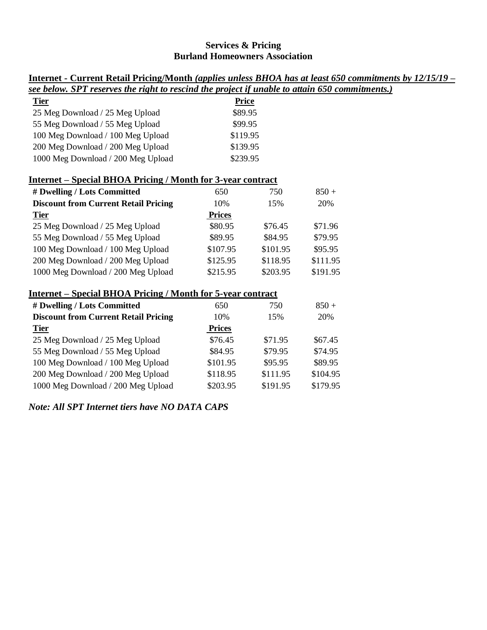## **Services & Pricing Burland Homeowners Association**

| <u>Internet - Current Retail Pricing/Month (applies unless BHOA has at least 650 commitments by 12/15/19 –</u> |               |          |          |  |
|----------------------------------------------------------------------------------------------------------------|---------------|----------|----------|--|
| see below. SPT reserves the right to rescind the project if unable to attain 650 commitments.)                 |               |          |          |  |
| <b>Tier</b>                                                                                                    | <b>Price</b>  |          |          |  |
| 25 Meg Download / 25 Meg Upload                                                                                | \$89.95       |          |          |  |
| 55 Meg Download / 55 Meg Upload                                                                                | \$99.95       |          |          |  |
| 100 Meg Download / 100 Meg Upload                                                                              | \$119.95      |          |          |  |
| 200 Meg Download / 200 Meg Upload                                                                              | \$139.95      |          |          |  |
| 1000 Meg Download / 200 Meg Upload                                                                             | \$239.95      |          |          |  |
| <b>Internet – Special BHOA Pricing / Month for 3-year contract</b>                                             |               |          |          |  |
| # Dwelling / Lots Committed                                                                                    | 650           | 750      | $850 +$  |  |
| <b>Discount from Current Retail Pricing</b>                                                                    | 10%           | 15%      | 20%      |  |
| <b>Tier</b>                                                                                                    | <b>Prices</b> |          |          |  |
| 25 Meg Download / 25 Meg Upload                                                                                | \$80.95       | \$76.45  | \$71.96  |  |
| 55 Meg Download / 55 Meg Upload                                                                                | \$89.95       | \$84.95  | \$79.95  |  |
| 100 Meg Download / 100 Meg Upload                                                                              | \$107.95      | \$101.95 | \$95.95  |  |
| 200 Meg Download / 200 Meg Upload                                                                              | \$125.95      | \$118.95 | \$111.95 |  |
| 1000 Meg Download / 200 Meg Upload                                                                             | \$215.95      | \$203.95 | \$191.95 |  |
| <b>Internet - Special BHOA Pricing / Month for 5-year contract</b>                                             |               |          |          |  |
| # Dwelling / Lots Committed                                                                                    | 650           | 750      | $850 +$  |  |
| <b>Discount from Current Retail Pricing</b>                                                                    | 10%           | 15%      | 20%      |  |
| <b>Tier</b>                                                                                                    | <b>Prices</b> |          |          |  |
| 25 Meg Download / 25 Meg Upload                                                                                | \$76.45       | \$71.95  | \$67.45  |  |
| 55 Meg Download / 55 Meg Upload                                                                                | \$84.95       | \$79.95  | \$74.95  |  |
| 100 Meg Download / 100 Meg Upload                                                                              | \$101.95      | \$95.95  | \$89.95  |  |
| 200 Meg Download / 200 Meg Upload                                                                              | \$118.95      | \$111.95 | \$104.95 |  |
| 1000 Meg Download / 200 Meg Upload                                                                             | \$203.95      | \$191.95 | \$179.95 |  |

*Note: All SPT Internet tiers have NO DATA CAPS*